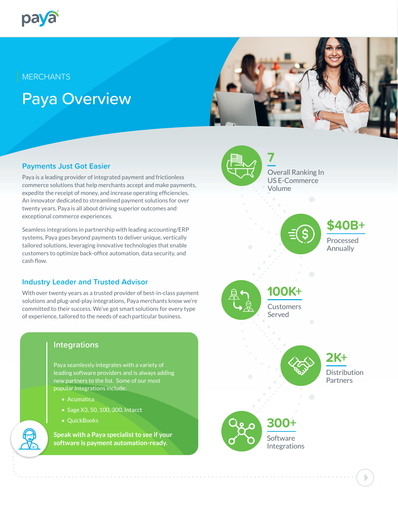

# **MERCHANTS**

# Paya Overview



# **Payments Just Got Easier**

Paya is a leading provider of integrated payment and frictionless commerce solutions that help merchants accept and make payments, expedite the receipt of money, and increase operating efficiencies. An innovator dedicated to streamlined payment solutions for over twenty years, Paya is all about driving superior outcomes and exceptional commerce experiences.

Seamless integrations in partnership with leading accounting/ERP systems, Paya goes beyond payments to deliver unique, vertically tailored solutions, leveraging innovative technologies that enable customers to optimize back-office automation, data security, and cash flow.

## **Industry Leader and Trusted Advisor**

With over twenty years as a trusted provider of best-in-class payment solutions and plug-and-play integrations, Paya merchants know we're committed to their success. We've got smart solutions for every type of experience, tailored to the needs of each particular business.

# **Integrations**

Paya seamlessly integrates with a variety of leading software providers and is always adding new partners to the list. Some of our most popular integrations include:

- Acumatica
- Sage X3, 50, 100, 300, Intacct
- QuickBooks

**Speak with a Paya specialist to see if your software is payment automation-ready.**



Overall Ranking In US E-Commerce Volume



**\$40B+**

Processed Annually

**100K+**

**Customers** Served